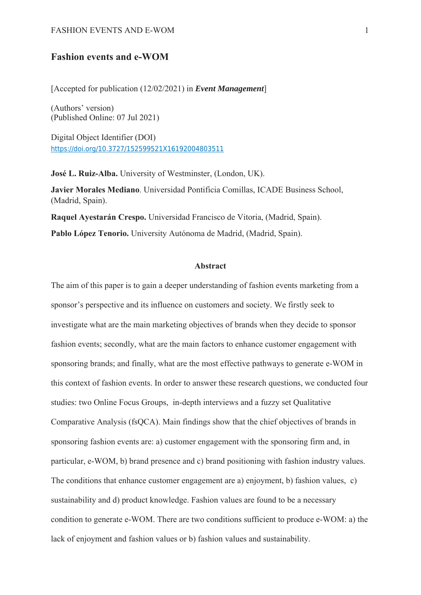#### FASHION EVENTS AND E-WOM 1

# **Fashion events and e-WOM**

[Accepted for publication (12/02/2021) in *Event Management*]

(Authors' version) (Published Online: 07 Jul 2021)

Digital Object Identifier (DOI) https://doi.org/10.3727/152599521X16192004803511

**José L. Ruiz-Alba.** University of Westminster, (London, UK).

**Javier Morales Mediano**. Universidad Pontificia Comillas, ICADE Business School, (Madrid, Spain).

**Raquel Ayestarán Crespo.** Universidad Francisco de Vitoria, (Madrid, Spain). **Pablo López Tenorio.** University Autónoma de Madrid, (Madrid, Spain).

#### **Abstract**

The aim of this paper is to gain a deeper understanding of fashion events marketing from a sponsor's perspective and its influence on customers and society. We firstly seek to investigate what are the main marketing objectives of brands when they decide to sponsor fashion events; secondly, what are the main factors to enhance customer engagement with sponsoring brands; and finally, what are the most effective pathways to generate e-WOM in this context of fashion events. In order to answer these research questions, we conducted four studies: two Online Focus Groups, in-depth interviews and a fuzzy set Qualitative Comparative Analysis (fsQCA). Main findings show that the chief objectives of brands in sponsoring fashion events are: a) customer engagement with the sponsoring firm and, in particular, e-WOM, b) brand presence and c) brand positioning with fashion industry values. The conditions that enhance customer engagement are a) enjoyment, b) fashion values, c) sustainability and d) product knowledge. Fashion values are found to be a necessary condition to generate e-WOM. There are two conditions sufficient to produce e-WOM: a) the lack of enjoyment and fashion values or b) fashion values and sustainability.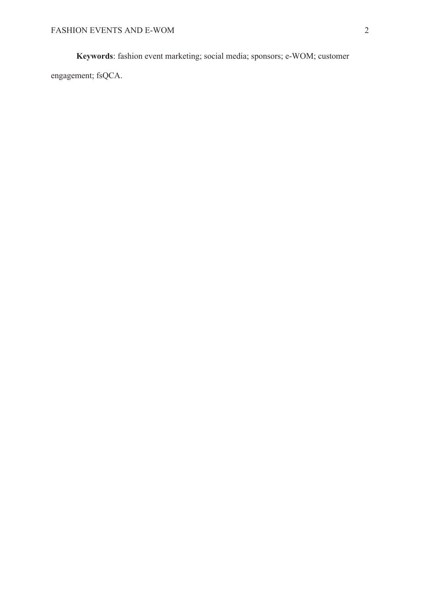**Keywords**: fashion event marketing; social media; sponsors; e-WOM; customer

engagement; fsQCA.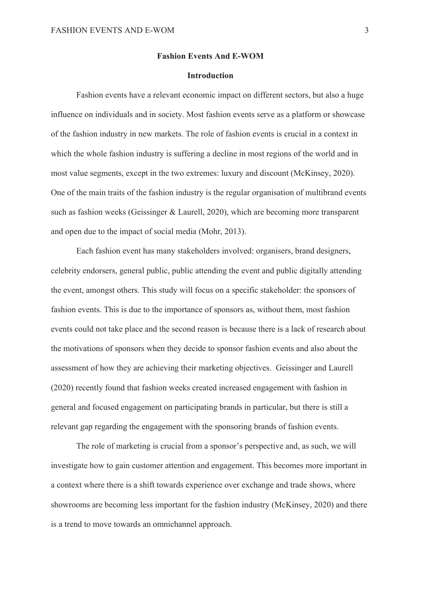#### **Fashion Events And E-WOM**

### **Introduction**

Fashion events have a relevant economic impact on different sectors, but also a huge influence on individuals and in society. Most fashion events serve as a platform or showcase of the fashion industry in new markets. The role of fashion events is crucial in a context in which the whole fashion industry is suffering a decline in most regions of the world and in most value segments, except in the two extremes: luxury and discount (McKinsey, 2020). One of the main traits of the fashion industry is the regular organisation of multibrand events such as fashion weeks (Geissinger & Laurell, 2020), which are becoming more transparent and open due to the impact of social media (Mohr, 2013).

Each fashion event has many stakeholders involved: organisers, brand designers, celebrity endorsers, general public, public attending the event and public digitally attending the event, amongst others. This study will focus on a specific stakeholder: the sponsors of fashion events. This is due to the importance of sponsors as, without them, most fashion events could not take place and the second reason is because there is a lack of research about the motivations of sponsors when they decide to sponsor fashion events and also about the assessment of how they are achieving their marketing objectives. Geissinger and Laurell (2020) recently found that fashion weeks created increased engagement with fashion in general and focused engagement on participating brands in particular, but there is still a relevant gap regarding the engagement with the sponsoring brands of fashion events.

The role of marketing is crucial from a sponsor's perspective and, as such, we will investigate how to gain customer attention and engagement. This becomes more important in a context where there is a shift towards experience over exchange and trade shows, where showrooms are becoming less important for the fashion industry (McKinsey, 2020) and there is a trend to move towards an omnichannel approach.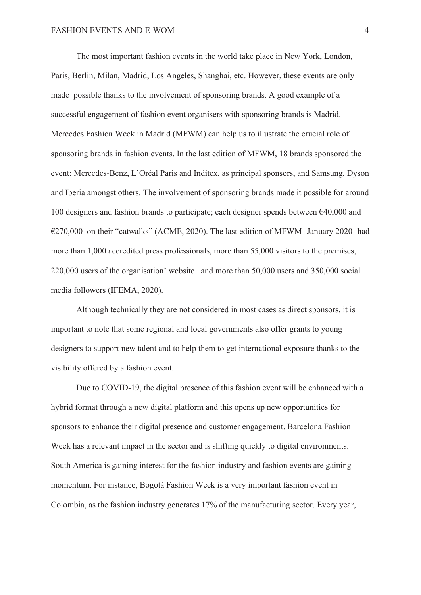The most important fashion events in the world take place in New York, London, Paris, Berlin, Milan, Madrid, Los Angeles, Shanghai, etc. However, these events are only made possible thanks to the involvement of sponsoring brands. A good example of a successful engagement of fashion event organisers with sponsoring brands is Madrid. Mercedes Fashion Week in Madrid (MFWM) can help us to illustrate the crucial role of sponsoring brands in fashion events. In the last edition of MFWM, 18 brands sponsored the event: Mercedes-Benz, L'Oréal Paris and Inditex, as principal sponsors, and Samsung, Dyson and Iberia amongst others. The involvement of sponsoring brands made it possible for around 100 designers and fashion brands to participate; each designer spends between €40,000 and €270,000 on their "catwalks" (ACME, 2020). The last edition of MFWM -January 2020- had more than 1,000 accredited press professionals, more than 55,000 visitors to the premises, 220,000 users of the organisation' website and more than 50,000 users and 350,000 social media followers (IFEMA, 2020).

Although technically they are not considered in most cases as direct sponsors, it is important to note that some regional and local governments also offer grants to young designers to support new talent and to help them to get international exposure thanks to the visibility offered by a fashion event.

Due to COVID-19, the digital presence of this fashion event will be enhanced with a hybrid format through a new digital platform and this opens up new opportunities for sponsors to enhance their digital presence and customer engagement. Barcelona Fashion Week has a relevant impact in the sector and is shifting quickly to digital environments. South America is gaining interest for the fashion industry and fashion events are gaining momentum. For instance, Bogotá Fashion Week is a very important fashion event in Colombia, as the fashion industry generates 17% of the manufacturing sector. Every year,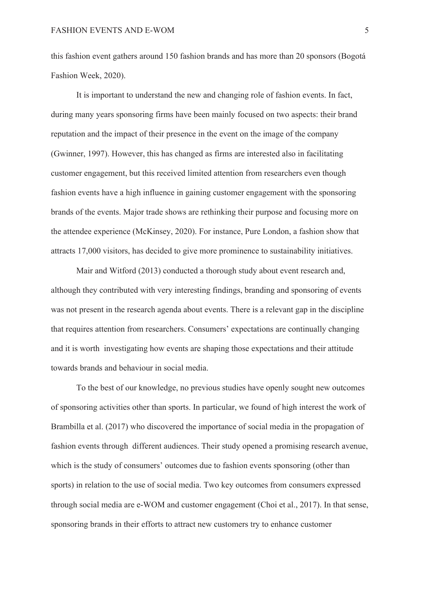this fashion event gathers around 150 fashion brands and has more than 20 sponsors (Bogotá Fashion Week, 2020).

It is important to understand the new and changing role of fashion events. In fact, during many years sponsoring firms have been mainly focused on two aspects: their brand reputation and the impact of their presence in the event on the image of the company (Gwinner, 1997). However, this has changed as firms are interested also in facilitating customer engagement, but this received limited attention from researchers even though fashion events have a high influence in gaining customer engagement with the sponsoring brands of the events. Major trade shows are rethinking their purpose and focusing more on the attendee experience (McKinsey, 2020). For instance, Pure London, a fashion show that attracts 17,000 visitors, has decided to give more prominence to sustainability initiatives.

Mair and Witford (2013) conducted a thorough study about event research and, although they contributed with very interesting findings, branding and sponsoring of events was not present in the research agenda about events. There is a relevant gap in the discipline that requires attention from researchers. Consumers' expectations are continually changing and it is worth investigating how events are shaping those expectations and their attitude towards brands and behaviour in social media.

To the best of our knowledge, no previous studies have openly sought new outcomes of sponsoring activities other than sports. In particular, we found of high interest the work of Brambilla et al. (2017) who discovered the importance of social media in the propagation of fashion events through different audiences. Their study opened a promising research avenue, which is the study of consumers' outcomes due to fashion events sponsoring (other than sports) in relation to the use of social media. Two key outcomes from consumers expressed through social media are e-WOM and customer engagement (Choi et al., 2017). In that sense, sponsoring brands in their efforts to attract new customers try to enhance customer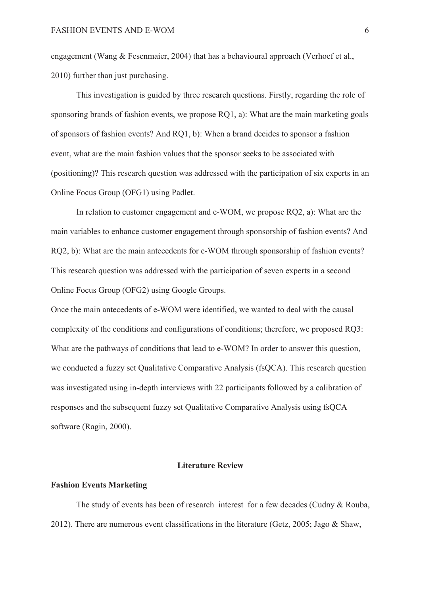engagement (Wang & Fesenmaier, 2004) that has a behavioural approach (Verhoef et al., 2010) further than just purchasing.

This investigation is guided by three research questions. Firstly, regarding the role of sponsoring brands of fashion events, we propose RQ1, a): What are the main marketing goals of sponsors of fashion events? And RQ1, b): When a brand decides to sponsor a fashion event, what are the main fashion values that the sponsor seeks to be associated with (positioning)? This research question was addressed with the participation of six experts in an Online Focus Group (OFG1) using Padlet.

In relation to customer engagement and e-WOM, we propose RQ2, a): What are the main variables to enhance customer engagement through sponsorship of fashion events? And RQ2, b): What are the main antecedents for e-WOM through sponsorship of fashion events? This research question was addressed with the participation of seven experts in a second Online Focus Group (OFG2) using Google Groups.

Once the main antecedents of e-WOM were identified, we wanted to deal with the causal complexity of the conditions and configurations of conditions; therefore, we proposed RQ3: What are the pathways of conditions that lead to e-WOM? In order to answer this question, we conducted a fuzzy set Qualitative Comparative Analysis (fsQCA). This research question was investigated using in-depth interviews with 22 participants followed by a calibration of responses and the subsequent fuzzy set Qualitative Comparative Analysis using fsQCA software (Ragin, 2000).

#### **Literature Review**

#### **Fashion Events Marketing**

The study of events has been of research interest for a few decades (Cudny & Rouba, 2012). There are numerous event classifications in the literature (Getz, 2005; Jago & Shaw,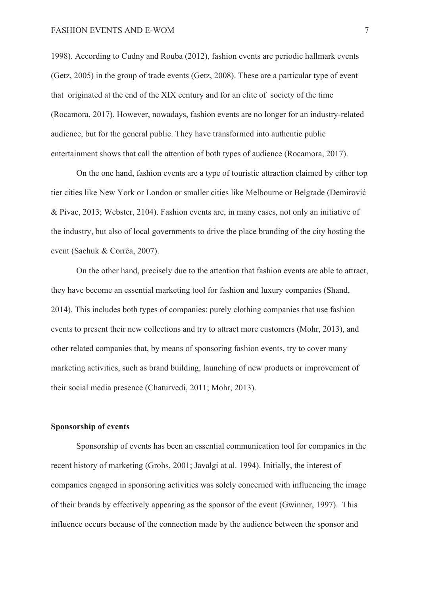1998). According to Cudny and Rouba (2012), fashion events are periodic hallmark events (Getz, 2005) in the group of trade events (Getz, 2008). These are a particular type of event that originated at the end of the XIX century and for an elite of society of the time (Rocamora, 2017). However, nowadays, fashion events are no longer for an industry-related audience, but for the general public. They have transformed into authentic public entertainment shows that call the attention of both types of audience (Rocamora, 2017).

On the one hand, fashion events are a type of touristic attraction claimed by either top tier cities like New York or London or smaller cities like Melbourne or Belgrade (Demirović & Pivac, 2013; Webster, 2104). Fashion events are, in many cases, not only an initiative of the industry, but also of local governments to drive the place branding of the city hosting the event (Sachuk & Corrêa, 2007).

On the other hand, precisely due to the attention that fashion events are able to attract, they have become an essential marketing tool for fashion and luxury companies (Shand, 2014). This includes both types of companies: purely clothing companies that use fashion events to present their new collections and try to attract more customers (Mohr, 2013), and other related companies that, by means of sponsoring fashion events, try to cover many marketing activities, such as brand building, launching of new products or improvement of their social media presence (Chaturvedi, 2011; Mohr, 2013).

#### **Sponsorship of events**

Sponsorship of events has been an essential communication tool for companies in the recent history of marketing (Grohs, 2001; Javalgi at al. 1994). Initially, the interest of companies engaged in sponsoring activities was solely concerned with influencing the image of their brands by effectively appearing as the sponsor of the event (Gwinner, 1997). This influence occurs because of the connection made by the audience between the sponsor and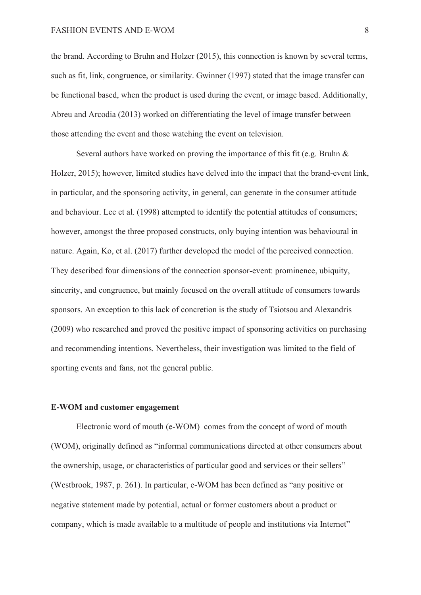the brand. According to Bruhn and Holzer (2015), this connection is known by several terms, such as fit, link, congruence, or similarity. Gwinner (1997) stated that the image transfer can be functional based, when the product is used during the event, or image based. Additionally, Abreu and Arcodia (2013) worked on differentiating the level of image transfer between those attending the event and those watching the event on television.

Several authors have worked on proving the importance of this fit (e.g. Bruhn & Holzer, 2015); however, limited studies have delved into the impact that the brand-event link, in particular, and the sponsoring activity, in general, can generate in the consumer attitude and behaviour. Lee et al. (1998) attempted to identify the potential attitudes of consumers; however, amongst the three proposed constructs, only buying intention was behavioural in nature. Again, Ko, et al. (2017) further developed the model of the perceived connection. They described four dimensions of the connection sponsor-event: prominence, ubiquity, sincerity, and congruence, but mainly focused on the overall attitude of consumers towards sponsors. An exception to this lack of concretion is the study of Tsiotsou and Alexandris (2009) who researched and proved the positive impact of sponsoring activities on purchasing and recommending intentions. Nevertheless, their investigation was limited to the field of sporting events and fans, not the general public.

### **E-WOM and customer engagement**

Electronic word of mouth (e-WOM) comes from the concept of word of mouth (WOM), originally defined as "informal communications directed at other consumers about the ownership, usage, or characteristics of particular good and services or their sellers" (Westbrook, 1987, p. 261). In particular, e-WOM has been defined as "any positive or negative statement made by potential, actual or former customers about a product or company, which is made available to a multitude of people and institutions via Internet"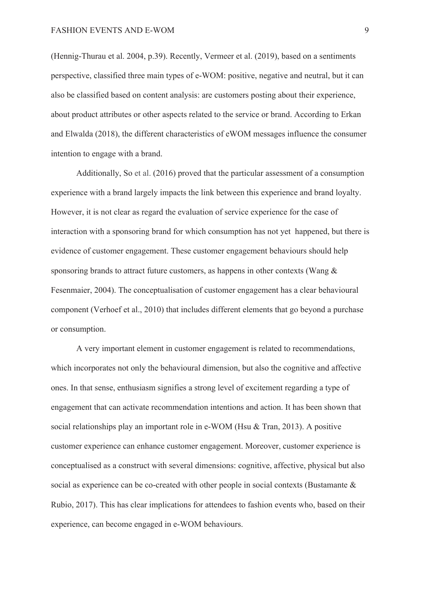(Hennig-Thurau et al. 2004, p.39). Recently, Vermeer et al. (2019), based on a sentiments perspective, classified three main types of e-WOM: positive, negative and neutral, but it can also be classified based on content analysis: are customers posting about their experience, about product attributes or other aspects related to the service or brand. According to Erkan and Elwalda (2018), the different characteristics of eWOM messages influence the consumer intention to engage with a brand.

Additionally, So et al. (2016) proved that the particular assessment of a consumption experience with a brand largely impacts the link between this experience and brand loyalty. However, it is not clear as regard the evaluation of service experience for the case of interaction with a sponsoring brand for which consumption has not yet happened, but there is evidence of customer engagement. These customer engagement behaviours should help sponsoring brands to attract future customers, as happens in other contexts (Wang & Fesenmaier, 2004). The conceptualisation of customer engagement has a clear behavioural component (Verhoef et al., 2010) that includes different elements that go beyond a purchase or consumption.

A very important element in customer engagement is related to recommendations, which incorporates not only the behavioural dimension, but also the cognitive and affective ones. In that sense, enthusiasm signifies a strong level of excitement regarding a type of engagement that can activate recommendation intentions and action. It has been shown that social relationships play an important role in e-WOM (Hsu & Tran, 2013). A positive customer experience can enhance customer engagement. Moreover, customer experience is conceptualised as a construct with several dimensions: cognitive, affective, physical but also social as experience can be co-created with other people in social contexts (Bustamante & Rubio, 2017). This has clear implications for attendees to fashion events who, based on their experience, can become engaged in e-WOM behaviours.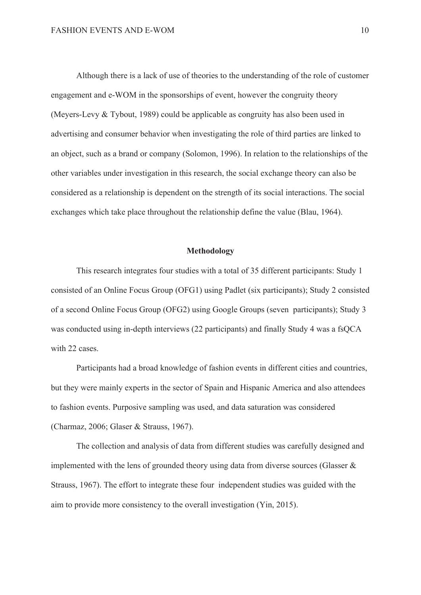Although there is a lack of use of theories to the understanding of the role of customer engagement and e-WOM in the sponsorships of event, however the congruity theory (Meyers-Levy & Tybout, 1989) could be applicable as congruity has also been used in advertising and consumer behavior when investigating the role of third parties are linked to an object, such as a brand or company (Solomon, 1996). In relation to the relationships of the other variables under investigation in this research, the social exchange theory can also be considered as a relationship is dependent on the strength of its social interactions. The social exchanges which take place throughout the relationship define the value (Blau, 1964).

## **Methodology**

This research integrates four studies with a total of 35 different participants: Study 1 consisted of an Online Focus Group (OFG1) using Padlet (six participants); Study 2 consisted of a second Online Focus Group (OFG2) using Google Groups (seven participants); Study 3 was conducted using in-depth interviews (22 participants) and finally Study 4 was a fsOCA with 22 cases.

Participants had a broad knowledge of fashion events in different cities and countries, but they were mainly experts in the sector of Spain and Hispanic America and also attendees to fashion events. Purposive sampling was used, and data saturation was considered (Charmaz, 2006; Glaser & Strauss, 1967).

The collection and analysis of data from different studies was carefully designed and implemented with the lens of grounded theory using data from diverse sources (Glasser & Strauss, 1967). The effort to integrate these four independent studies was guided with the aim to provide more consistency to the overall investigation (Yin, 2015).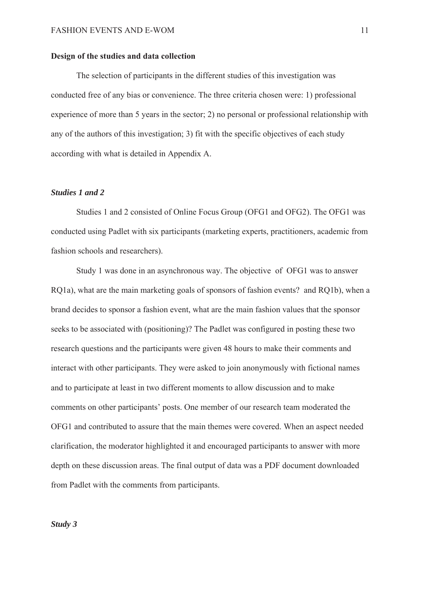#### **Design of the studies and data collection**

The selection of participants in the different studies of this investigation was conducted free of any bias or convenience. The three criteria chosen were: 1) professional experience of more than 5 years in the sector; 2) no personal or professional relationship with any of the authors of this investigation; 3) fit with the specific objectives of each study according with what is detailed in Appendix A.

### *Studies 1 and 2*

Studies 1 and 2 consisted of Online Focus Group (OFG1 and OFG2). The OFG1 was conducted using Padlet with six participants (marketing experts, practitioners, academic from fashion schools and researchers).

Study 1 was done in an asynchronous way. The objective of OFG1 was to answer RQ1a), what are the main marketing goals of sponsors of fashion events? and RQ1b), when a brand decides to sponsor a fashion event, what are the main fashion values that the sponsor seeks to be associated with (positioning)? The Padlet was configured in posting these two research questions and the participants were given 48 hours to make their comments and interact with other participants. They were asked to join anonymously with fictional names and to participate at least in two different moments to allow discussion and to make comments on other participants' posts. One member of our research team moderated the OFG1 and contributed to assure that the main themes were covered. When an aspect needed clarification, the moderator highlighted it and encouraged participants to answer with more depth on these discussion areas. The final output of data was a PDF document downloaded from Padlet with the comments from participants.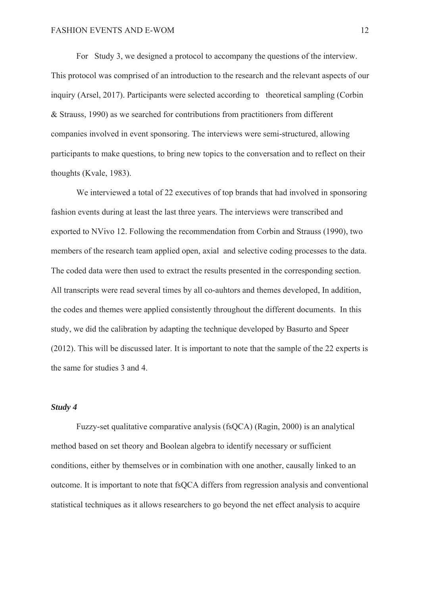For Study 3, we designed a protocol to accompany the questions of the interview. This protocol was comprised of an introduction to the research and the relevant aspects of our inquiry (Arsel, 2017). Participants were selected according to theoretical sampling (Corbin & Strauss, 1990) as we searched for contributions from practitioners from different companies involved in event sponsoring. The interviews were semi-structured, allowing participants to make questions, to bring new topics to the conversation and to reflect on their thoughts (Kvale, 1983).

We interviewed a total of 22 executives of top brands that had involved in sponsoring fashion events during at least the last three years. The interviews were transcribed and exported to NVivo 12. Following the recommendation from Corbin and Strauss (1990), two members of the research team applied open, axial and selective coding processes to the data. The coded data were then used to extract the results presented in the corresponding section. All transcripts were read several times by all co-auhtors and themes developed, In addition, the codes and themes were applied consistently throughout the different documents. In this study, we did the calibration by adapting the technique developed by Basurto and Speer (2012). This will be discussed later. It is important to note that the sample of the 22 experts is the same for studies 3 and 4.

#### *Study 4*

Fuzzy-set qualitative comparative analysis (fsQCA) (Ragin, 2000) is an analytical method based on set theory and Boolean algebra to identify necessary or sufficient conditions, either by themselves or in combination with one another, causally linked to an outcome. It is important to note that fsQCA differs from regression analysis and conventional statistical techniques as it allows researchers to go beyond the net effect analysis to acquire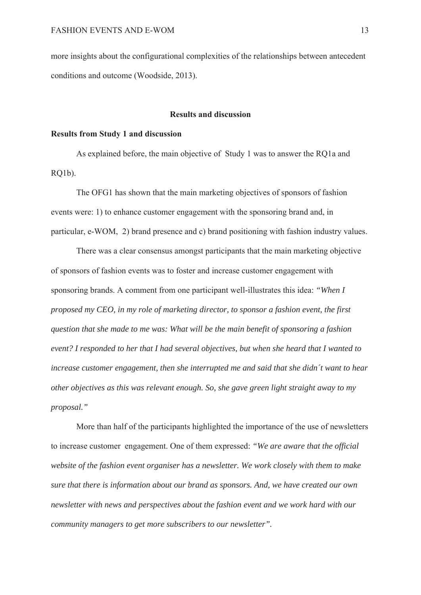more insights about the configurational complexities of the relationships between antecedent conditions and outcome (Woodside, 2013).

### **Results and discussion**

#### **Results from Study 1 and discussion**

As explained before, the main objective of Study 1 was to answer the RQ1a and RQ1b).

The OFG1 has shown that the main marketing objectives of sponsors of fashion events were: 1) to enhance customer engagement with the sponsoring brand and, in particular, e-WOM, 2) brand presence and c) brand positioning with fashion industry values.

There was a clear consensus amongst participants that the main marketing objective of sponsors of fashion events was to foster and increase customer engagement with sponsoring brands. A comment from one participant well-illustrates this idea: *"When I proposed my CEO, in my role of marketing director, to sponsor a fashion event, the first question that she made to me was: What will be the main benefit of sponsoring a fashion event? I responded to her that I had several objectives, but when she heard that I wanted to increase customer engagement, then she interrupted me and said that she didn´t want to hear other objectives as this was relevant enough. So, she gave green light straight away to my proposal."*

More than half of the participants highlighted the importance of the use of newsletters to increase customer engagement. One of them expressed: *"We are aware that the official website of the fashion event organiser has a newsletter. We work closely with them to make sure that there is information about our brand as sponsors. And, we have created our own newsletter with news and perspectives about the fashion event and we work hard with our community managers to get more subscribers to our newsletter".*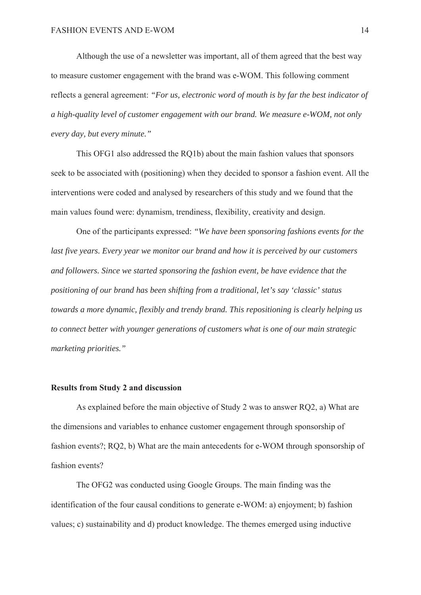Although the use of a newsletter was important, all of them agreed that the best way to measure customer engagement with the brand was e-WOM. This following comment reflects a general agreement: *"For us, electronic word of mouth is by far the best indicator of a high-quality level of customer engagement with our brand. We measure e-WOM, not only every day, but every minute."*

This OFG1 also addressed the RQ1b) about the main fashion values that sponsors seek to be associated with (positioning) when they decided to sponsor a fashion event. All the interventions were coded and analysed by researchers of this study and we found that the main values found were: dynamism, trendiness, flexibility, creativity and design.

One of the participants expressed: *"We have been sponsoring fashions events for the last five years. Every year we monitor our brand and how it is perceived by our customers and followers. Since we started sponsoring the fashion event, be have evidence that the positioning of our brand has been shifting from a traditional, let's say 'classic' status towards a more dynamic, flexibly and trendy brand. This repositioning is clearly helping us to connect better with younger generations of customers what is one of our main strategic marketing priorities."*

#### **Results from Study 2 and discussion**

As explained before the main objective of Study 2 was to answer RQ2, a) What are the dimensions and variables to enhance customer engagement through sponsorship of fashion events?; RQ2, b) What are the main antecedents for e-WOM through sponsorship of fashion events?

The OFG2 was conducted using Google Groups. The main finding was the identification of the four causal conditions to generate e-WOM: a) enjoyment; b) fashion values; c) sustainability and d) product knowledge. The themes emerged using inductive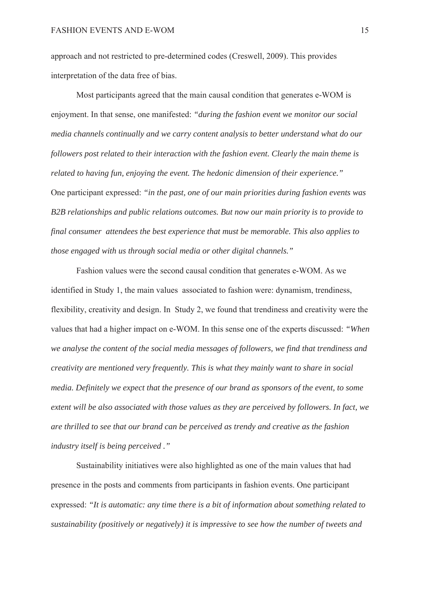approach and not restricted to pre-determined codes (Creswell, 2009). This provides interpretation of the data free of bias.

Most participants agreed that the main causal condition that generates e-WOM is enjoyment. In that sense, one manifested: *"during the fashion event we monitor our social media channels continually and we carry content analysis to better understand what do our followers post related to their interaction with the fashion event. Clearly the main theme is related to having fun, enjoying the event. The hedonic dimension of their experience."* One participant expressed: *"in the past, one of our main priorities during fashion events was B2B relationships and public relations outcomes. But now our main priority is to provide to final consumer attendees the best experience that must be memorable. This also applies to those engaged with us through social media or other digital channels."*

Fashion values were the second causal condition that generates e-WOM. As we identified in Study 1, the main values associated to fashion were: dynamism, trendiness, flexibility, creativity and design. In Study 2, we found that trendiness and creativity were the values that had a higher impact on e-WOM. In this sense one of the experts discussed: *"When we analyse the content of the social media messages of followers, we find that trendiness and creativity are mentioned very frequently. This is what they mainly want to share in social media. Definitely we expect that the presence of our brand as sponsors of the event, to some extent will be also associated with those values as they are perceived by followers. In fact, we are thrilled to see that our brand can be perceived as trendy and creative as the fashion industry itself is being perceived ."*

Sustainability initiatives were also highlighted as one of the main values that had presence in the posts and comments from participants in fashion events. One participant expressed: *"It is automatic: any time there is a bit of information about something related to sustainability (positively or negatively) it is impressive to see how the number of tweets and*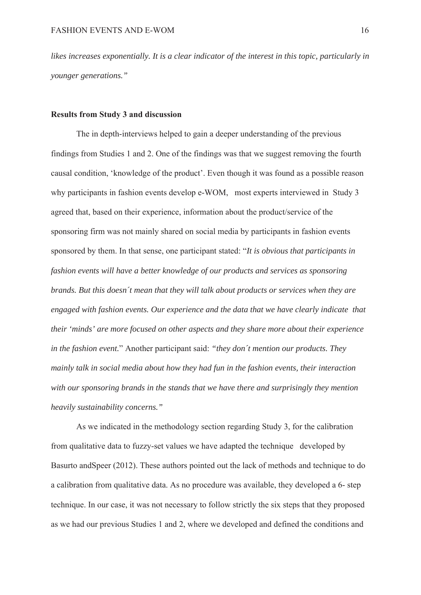*likes increases exponentially. It is a clear indicator of the interest in this topic, particularly in younger generations."*

#### **Results from Study 3 and discussion**

The in depth-interviews helped to gain a deeper understanding of the previous findings from Studies 1 and 2. One of the findings was that we suggest removing the fourth causal condition, 'knowledge of the product'. Even though it was found as a possible reason why participants in fashion events develop e-WOM, most experts interviewed in Study 3 agreed that, based on their experience, information about the product/service of the sponsoring firm was not mainly shared on social media by participants in fashion events sponsored by them. In that sense, one participant stated: "*It is obvious that participants in fashion events will have a better knowledge of our products and services as sponsoring brands. But this doesn´t mean that they will talk about products or services when they are engaged with fashion events. Our experience and the data that we have clearly indicate that their 'minds' are more focused on other aspects and they share more about their experience in the fashion event.*" Another participant said: *"they don´t mention our products. They mainly talk in social media about how they had fun in the fashion events, their interaction with our sponsoring brands in the stands that we have there and surprisingly they mention heavily sustainability concerns."*

As we indicated in the methodology section regarding Study 3, for the calibration from qualitative data to fuzzy-set values we have adapted the technique developed by Basurto andSpeer (2012). These authors pointed out the lack of methods and technique to do a calibration from qualitative data. As no procedure was available, they developed a 6- step technique. In our case, it was not necessary to follow strictly the six steps that they proposed as we had our previous Studies 1 and 2, where we developed and defined the conditions and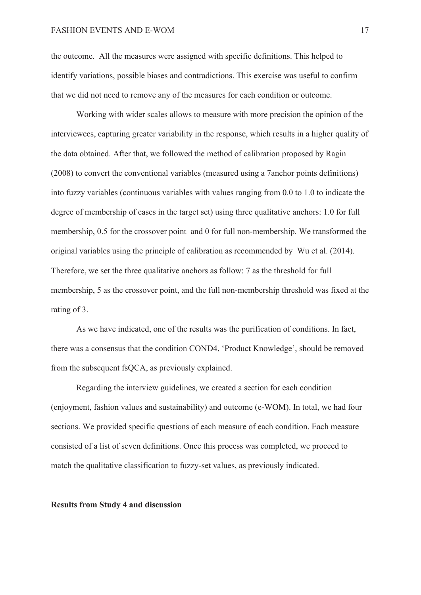#### FASHION EVENTS AND E-WOM 17

the outcome. All the measures were assigned with specific definitions. This helped to identify variations, possible biases and contradictions. This exercise was useful to confirm that we did not need to remove any of the measures for each condition or outcome.

Working with wider scales allows to measure with more precision the opinion of the interviewees, capturing greater variability in the response, which results in a higher quality of the data obtained. After that, we followed the method of calibration proposed by Ragin (2008) to convert the conventional variables (measured using a 7anchor points definitions) into fuzzy variables (continuous variables with values ranging from 0.0 to 1.0 to indicate the degree of membership of cases in the target set) using three qualitative anchors: 1.0 for full membership, 0.5 for the crossover point and 0 for full non-membership. We transformed the original variables using the principle of calibration as recommended by Wu et al. (2014). Therefore, we set the three qualitative anchors as follow: 7 as the threshold for full membership, 5 as the crossover point, and the full non-membership threshold was fixed at the rating of 3.

As we have indicated, one of the results was the purification of conditions. In fact, there was a consensus that the condition COND4, 'Product Knowledge', should be removed from the subsequent fsQCA, as previously explained.

Regarding the interview guidelines, we created a section for each condition (enjoyment, fashion values and sustainability) and outcome (e-WOM). In total, we had four sections. We provided specific questions of each measure of each condition. Each measure consisted of a list of seven definitions. Once this process was completed, we proceed to match the qualitative classification to fuzzy-set values, as previously indicated.

#### **Results from Study 4 and discussion**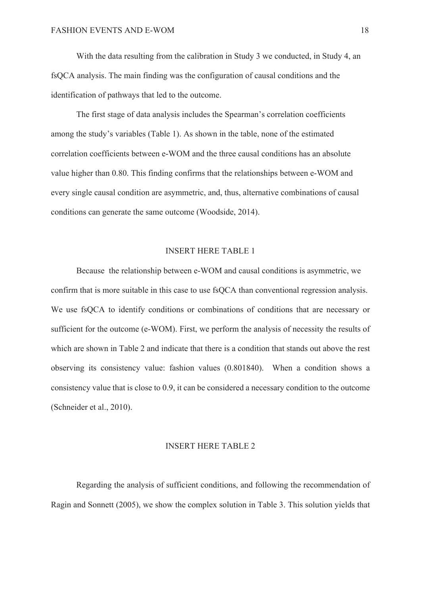With the data resulting from the calibration in Study 3 we conducted, in Study 4, an fsQCA analysis. The main finding was the configuration of causal conditions and the identification of pathways that led to the outcome.

The first stage of data analysis includes the Spearman's correlation coefficients among the study's variables (Table 1). As shown in the table, none of the estimated correlation coefficients between e-WOM and the three causal conditions has an absolute value higher than 0.80. This finding confirms that the relationships between e-WOM and every single causal condition are asymmetric, and, thus, alternative combinations of causal conditions can generate the same outcome (Woodside, 2014).

### INSERT HERE TABLE 1

Because the relationship between e-WOM and causal conditions is asymmetric, we confirm that is more suitable in this case to use fsQCA than conventional regression analysis. We use fsQCA to identify conditions or combinations of conditions that are necessary or sufficient for the outcome (e-WOM). First, we perform the analysis of necessity the results of which are shown in Table 2 and indicate that there is a condition that stands out above the rest observing its consistency value: fashion values (0.801840). When a condition shows a consistency value that is close to 0.9, it can be considered a necessary condition to the outcome (Schneider et al., 2010).

#### INSERT HERE TABLE 2

Regarding the analysis of sufficient conditions, and following the recommendation of Ragin and Sonnett (2005), we show the complex solution in Table 3. This solution yields that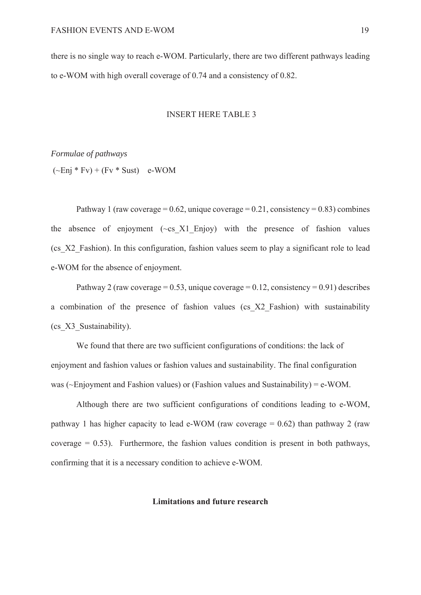there is no single way to reach e-WOM. Particularly, there are two different pathways leading to e-WOM with high overall coverage of 0.74 and a consistency of 0.82.

#### INSERT HERE TABLE 3

*Formulae of pathways*

 $(-Eni * Fv) + (Fv * Sust)$  e-WOM

Pathway 1 (raw coverage =  $0.62$ , unique coverage =  $0.21$ , consistency =  $0.83$ ) combines the absence of enjoyment  $(\sim c s X1)$  Enjoy) with the presence of fashion values (cs\_X2\_Fashion). In this configuration, fashion values seem to play a significant role to lead e-WOM for the absence of enjoyment.

Pathway 2 (raw coverage =  $0.53$ , unique coverage =  $0.12$ , consistency =  $0.91$ ) describes a combination of the presence of fashion values (cs\_X2\_Fashion) with sustainability (cs\_X3\_Sustainability).

We found that there are two sufficient configurations of conditions: the lack of enjoyment and fashion values or fashion values and sustainability. The final configuration was ( $\sim$ Enjoyment and Fashion values) or (Fashion values and Sustainability) = e-WOM.

Although there are two sufficient configurations of conditions leading to e-WOM, pathway 1 has higher capacity to lead e-WOM (raw coverage  $= 0.62$ ) than pathway 2 (raw coverage  $= 0.53$ ). Furthermore, the fashion values condition is present in both pathways, confirming that it is a necessary condition to achieve e-WOM.

#### **Limitations and future research**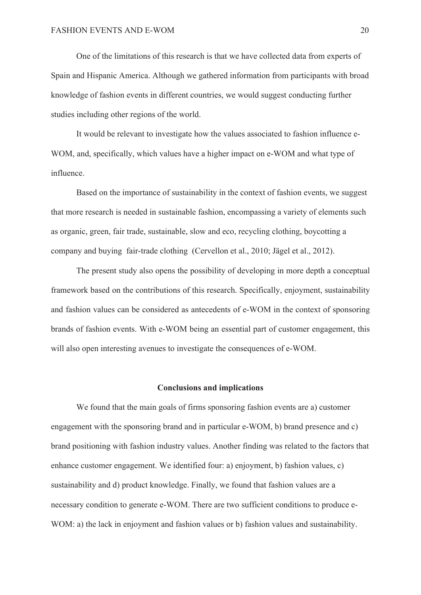One of the limitations of this research is that we have collected data from experts of Spain and Hispanic America. Although we gathered information from participants with broad knowledge of fashion events in different countries, we would suggest conducting further studies including other regions of the world.

It would be relevant to investigate how the values associated to fashion influence e-WOM, and, specifically, which values have a higher impact on e-WOM and what type of influence.

Based on the importance of sustainability in the context of fashion events, we suggest that more research is needed in sustainable fashion, encompassing a variety of elements such as organic, green, fair trade, sustainable, slow and eco, recycling clothing, boycotting a company and buying fair-trade clothing (Cervellon et al., 2010; Jägel et al., 2012).

The present study also opens the possibility of developing in more depth a conceptual framework based on the contributions of this research. Specifically, enjoyment, sustainability and fashion values can be considered as antecedents of e-WOM in the context of sponsoring brands of fashion events. With e-WOM being an essential part of customer engagement, this will also open interesting avenues to investigate the consequences of e-WOM.

#### **Conclusions and implications**

We found that the main goals of firms sponsoring fashion events are a) customer engagement with the sponsoring brand and in particular e-WOM, b) brand presence and c) brand positioning with fashion industry values. Another finding was related to the factors that enhance customer engagement. We identified four: a) enjoyment, b) fashion values, c) sustainability and d) product knowledge. Finally, we found that fashion values are a necessary condition to generate e-WOM. There are two sufficient conditions to produce e-WOM: a) the lack in enjoyment and fashion values or b) fashion values and sustainability.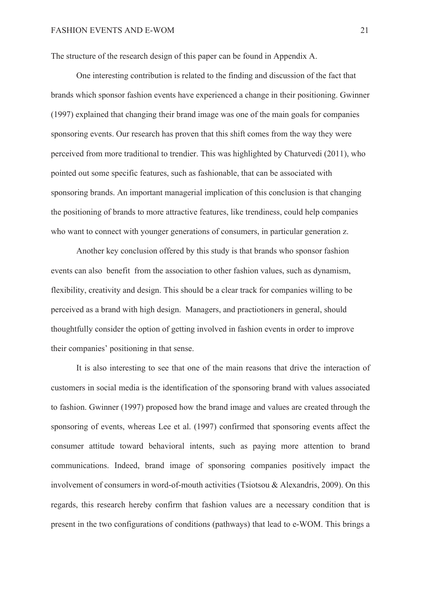The structure of the research design of this paper can be found in Appendix A.

One interesting contribution is related to the finding and discussion of the fact that brands which sponsor fashion events have experienced a change in their positioning. Gwinner (1997) explained that changing their brand image was one of the main goals for companies sponsoring events. Our research has proven that this shift comes from the way they were perceived from more traditional to trendier. This was highlighted by Chaturvedi (2011), who pointed out some specific features, such as fashionable, that can be associated with sponsoring brands. An important managerial implication of this conclusion is that changing the positioning of brands to more attractive features, like trendiness, could help companies who want to connect with younger generations of consumers, in particular generation z.

Another key conclusion offered by this study is that brands who sponsor fashion events can also benefit from the association to other fashion values, such as dynamism, flexibility, creativity and design. This should be a clear track for companies willing to be perceived as a brand with high design. Managers, and practiotioners in general, should thoughtfully consider the option of getting involved in fashion events in order to improve their companies' positioning in that sense.

It is also interesting to see that one of the main reasons that drive the interaction of customers in social media is the identification of the sponsoring brand with values associated to fashion. Gwinner (1997) proposed how the brand image and values are created through the sponsoring of events, whereas Lee et al. (1997) confirmed that sponsoring events affect the consumer attitude toward behavioral intents, such as paying more attention to brand communications. Indeed, brand image of sponsoring companies positively impact the involvement of consumers in word-of-mouth activities (Tsiotsou & Alexandris, 2009). On this regards, this research hereby confirm that fashion values are a necessary condition that is present in the two configurations of conditions (pathways) that lead to e-WOM. This brings a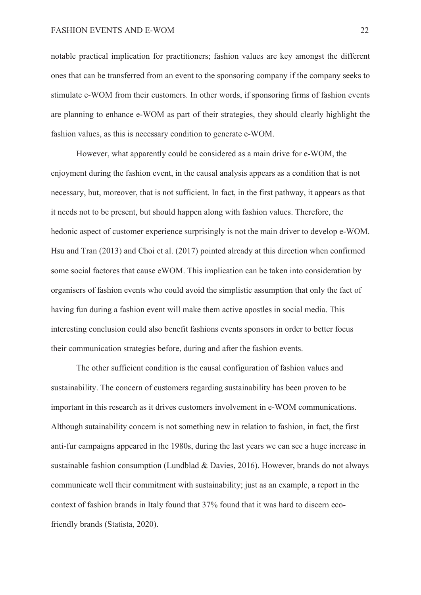notable practical implication for practitioners; fashion values are key amongst the different ones that can be transferred from an event to the sponsoring company if the company seeks to stimulate e-WOM from their customers. In other words, if sponsoring firms of fashion events are planning to enhance e-WOM as part of their strategies, they should clearly highlight the fashion values, as this is necessary condition to generate e-WOM.

However, what apparently could be considered as a main drive for e-WOM, the enjoyment during the fashion event, in the causal analysis appears as a condition that is not necessary, but, moreover, that is not sufficient. In fact, in the first pathway, it appears as that it needs not to be present, but should happen along with fashion values. Therefore, the hedonic aspect of customer experience surprisingly is not the main driver to develop e-WOM. Hsu and Tran (2013) and Choi et al. (2017) pointed already at this direction when confirmed some social factores that cause eWOM. This implication can be taken into consideration by organisers of fashion events who could avoid the simplistic assumption that only the fact of having fun during a fashion event will make them active apostles in social media. This interesting conclusion could also benefit fashions events sponsors in order to better focus their communication strategies before, during and after the fashion events.

The other sufficient condition is the causal configuration of fashion values and sustainability. The concern of customers regarding sustainability has been proven to be important in this research as it drives customers involvement in e-WOM communications. Although sutainability concern is not something new in relation to fashion, in fact, the first anti-fur campaigns appeared in the 1980s, during the last years we can see a huge increase in sustainable fashion consumption (Lundblad & Davies, 2016). However, brands do not always communicate well their commitment with sustainability; just as an example, a report in the context of fashion brands in Italy found that 37% found that it was hard to discern ecofriendly brands (Statista, 2020).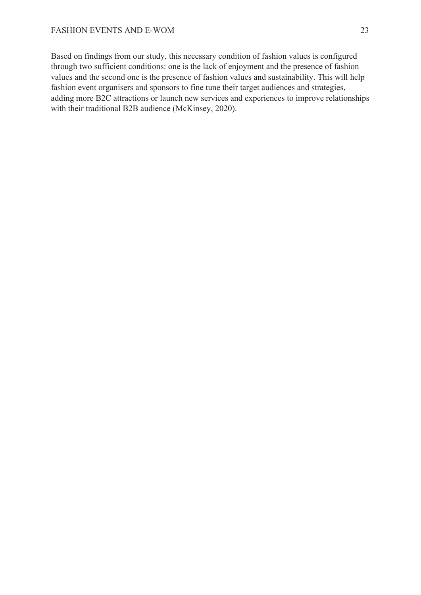Based on findings from our study, this necessary condition of fashion values is configured through two sufficient conditions: one is the lack of enjoyment and the presence of fashion values and the second one is the presence of fashion values and sustainability. This will help fashion event organisers and sponsors to fine tune their target audiences and strategies, adding more B2C attractions or launch new services and experiences to improve relationships with their traditional B2B audience (McKinsey, 2020).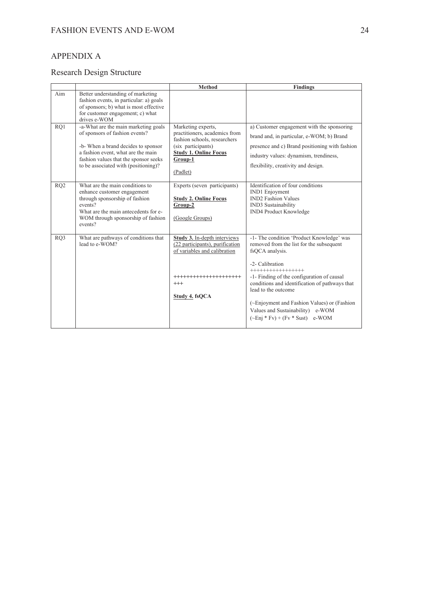# APPENDIX A

# Research Design Structure

|                 |                                                                                                                                                                                                                                      | <b>Method</b>                                                                                                                                                    | <b>Findings</b>                                                                                                                                                                                                                                                                                                                                                                                |
|-----------------|--------------------------------------------------------------------------------------------------------------------------------------------------------------------------------------------------------------------------------------|------------------------------------------------------------------------------------------------------------------------------------------------------------------|------------------------------------------------------------------------------------------------------------------------------------------------------------------------------------------------------------------------------------------------------------------------------------------------------------------------------------------------------------------------------------------------|
| Aim             | Better understanding of marketing<br>fashion events, in particular: a) goals<br>of sponsors; b) what is most effective<br>for customer engagement; c) what<br>drives e-WOM                                                           |                                                                                                                                                                  |                                                                                                                                                                                                                                                                                                                                                                                                |
| RO1             | -a-What are the main marketing goals<br>of sponsors of fashion events?<br>-b- When a brand decides to sponsor<br>a fashion event, what are the main<br>fashion values that the sponsor seeks<br>to be associated with (positioning)? | Marketing experts,<br>practitioners, academics from<br>fashion schools, researchers<br>(six participants)<br><b>Study 1. Online Focus</b><br>Group-1<br>(Padlet) | a) Customer engagement with the sponsoring<br>brand and, in particular, e-WOM; b) Brand<br>presence and c) Brand positioning with fashion<br>industry values: dynamism, trendiness,<br>flexibility, creativity and design.                                                                                                                                                                     |
| RO <sub>2</sub> | What are the main conditions to<br>enhance customer engagement<br>through sponsorship of fashion<br>events?<br>What are the main antecedents for e-<br>WOM through sponsorship of fashion<br>events?                                 | Experts (seven participants)<br><b>Study 2. Online Focus</b><br>Group-2<br>(Google Groups)                                                                       | Identification of four conditions<br><b>IND1</b> Enjoyment<br><b>IND2</b> Fashion Values<br>IND3 Sustainability<br><b>IND4 Product Knowledge</b>                                                                                                                                                                                                                                               |
| RO <sub>3</sub> | What are pathways of conditions that<br>lead to e-WOM?                                                                                                                                                                               | Study 3. In-depth interviews<br>(22 participants), purification<br>of variables and calibration<br>********************<br>$^{+++}$<br>Study 4. fsQCA            | -1- The condition 'Product Knowledge' was<br>removed from the list for the subsequent<br>fsOCA analysis.<br>-2- Calibration<br>++++++++++++++++<br>-1- Finding of the configuration of causal<br>conditions and identification of pathways that<br>lead to the outcome<br>(~Enjoyment and Fashion Values) or (Fashion<br>Values and Sustainability) e-WOM<br>$(-Eni * Fv) + (Fv * Sust)$ e-WOM |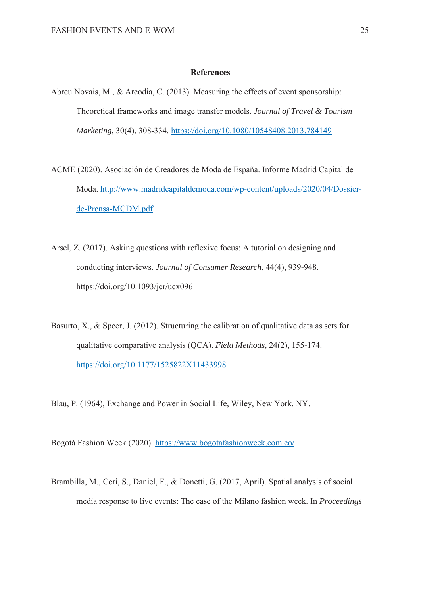#### **References**

- Abreu Novais, M., & Arcodia, C. (2013). Measuring the effects of event sponsorship: Theoretical frameworks and image transfer models. *Journal of Travel & Tourism Marketing*, 30(4), 308-334. https://doi.org/10.1080/10548408.2013.784149
- ACME (2020). Asociación de Creadores de Moda de España. Informe Madrid Capital de Moda. http://www.madridcapitaldemoda.com/wp-content/uploads/2020/04/Dossierde-Prensa-MCDM.pdf
- Arsel, Z. (2017). Asking questions with reflexive focus: A tutorial on designing and conducting interviews. *Journal of Consumer Research*, 44(4), 939-948. https://doi.org/10.1093/jcr/ucx096
- Basurto, X., & Speer, J. (2012). Structuring the calibration of qualitative data as sets for qualitative comparative analysis (QCA). *Field Methods,* 24(2), 155-174. https://doi.org/10.1177/1525822X11433998
- Blau, P. (1964), Exchange and Power in Social Life, Wiley, New York, NY.

Bogotá Fashion Week (2020). https://www.bogotafashionweek.com.co/

Brambilla, M., Ceri, S., Daniel, F., & Donetti, G. (2017, April). Spatial analysis of social media response to live events: The case of the Milano fashion week. In *Proceedings*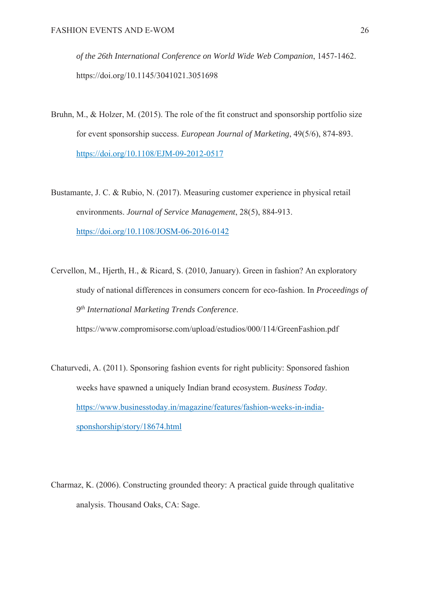*of the 26th International Conference on World Wide Web Companion*, 1457-1462. https://doi.org/10.1145/3041021.3051698

- Bruhn, M., & Holzer, M. (2015). The role of the fit construct and sponsorship portfolio size for event sponsorship success. *European Journal of Marketing*, 49(5/6), 874-893. https://doi.org/10.1108/EJM-09-2012-0517
- Bustamante, J. C. & Rubio, N. (2017). Measuring customer experience in physical retail environments. *Journal of Service Management*, 28(5), 884-913. https://doi.org/10.1108/JOSM-06-2016-0142
- Cervellon, M., Hjerth, H., & Ricard, S. (2010, January). Green in fashion? An exploratory study of national differences in consumers concern for eco-fashion. In *Proceedings of 9th International Marketing Trends Conference*. https://www.compromisorse.com/upload/estudios/000/114/GreenFashion.pdf
- Chaturvedi, A. (2011). Sponsoring fashion events for right publicity: Sponsored fashion weeks have spawned a uniquely Indian brand ecosystem. *Business Today*. https://www.businesstoday.in/magazine/features/fashion-weeks-in-indiasponshorship/story/18674.html
- Charmaz, K. (2006). Constructing grounded theory: A practical guide through qualitative analysis. Thousand Oaks, CA: Sage.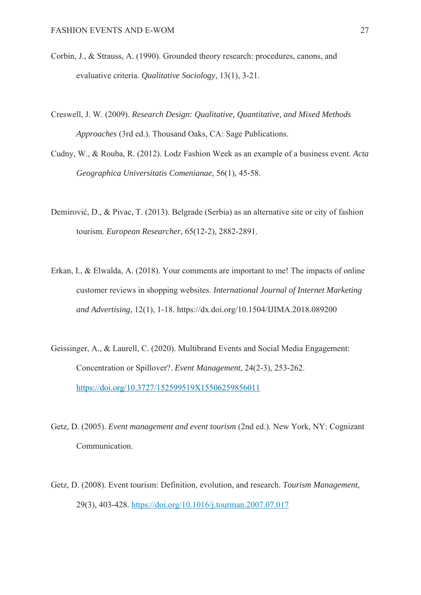- Corbin, J., & Strauss, A. (1990). Grounded theory research: procedures, canons, and evaluative criteria. *Qualitative Sociology*, 13(1), 3-21.
- Creswell, J. W. (2009). *Research Design: Qualitative, Quantitative, and Mixed Methods Approaches* (3rd ed.). Thousand Oaks, CA: Sage Publications.
- Cudny, W., & Rouba, R. (2012). Lodz Fashion Week as an example of a business event. *Acta Geographica Universitatis Comenianae*, 56(1), 45-58.
- Demirović, D., & Pivac, T. (2013). Belgrade (Serbia) as an alternative site or city of fashion tourism. *European Researcher*, 65(12-2), 2882-2891.
- Erkan, I., & Elwalda, A. (2018). Your comments are important to me! The impacts of online customer reviews in shopping websites. *International Journal of Internet Marketing and Advertising*, 12(1), 1-18. https://dx.doi.org/10.1504/IJIMA.2018.089200
- Geissinger, A., & Laurell, C. (2020). Multibrand Events and Social Media Engagement: Concentration or Spillover?. *Event Management*, 24(2-3), 253-262. https://doi.org/10.3727/152599519X15506259856011
- Getz, D. (2005). *Event management and event tourism* (2nd ed.). New York, NY: Cognizant Communication.
- Getz, D. (2008). Event tourism: Definition, evolution, and research. *Tourism Management*, 29(3), 403-428. https://doi.org/10.1016/j.tourman.2007.07.017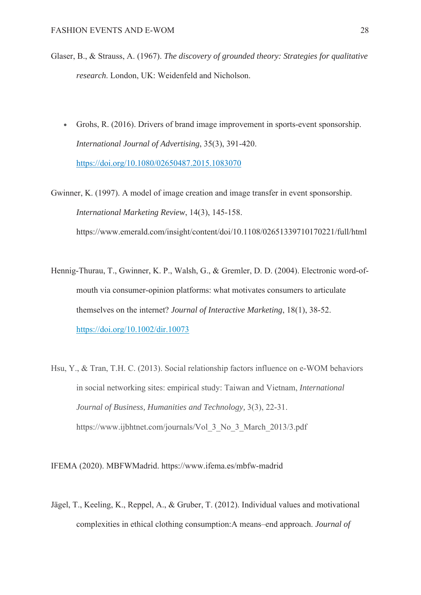- Glaser, B., & Strauss, A. (1967). *The discovery of grounded theory: Strategies for qualitative research*. London, UK: Weidenfeld and Nicholson.
	- Grohs, R. (2016). Drivers of brand image improvement in sports-event sponsorship. *International Journal of Advertising*, 35(3), 391-420. https://doi.org/10.1080/02650487.2015.1083070

Gwinner, K. (1997). A model of image creation and image transfer in event sponsorship. *International Marketing Review*, 14(3), 145-158. https://www.emerald.com/insight/content/doi/10.1108/02651339710170221/full/html

- Hennig-Thurau, T., Gwinner, K. P., Walsh, G., & Gremler, D. D. (2004). Electronic word-ofmouth via consumer-opinion platforms: what motivates consumers to articulate themselves on the internet? *Journal of Interactive Marketing*, 18(1), 38-52. https://doi.org/10.1002/dir.10073
- Hsu, Y., & Tran, T.H. C. (2013). Social relationship factors influence on e-WOM behaviors in social networking sites: empirical study: Taiwan and Vietnam, *International Journal of Business, Humanities and Technology,* 3(3), 22-31. https://www.ijbhtnet.com/journals/Vol\_3\_No\_3\_March\_2013/3.pdf

IFEMA (2020). MBFWMadrid. https://www.ifema.es/mbfw-madrid

Jägel, T., Keeling, K., Reppel, A., & Gruber, T. (2012). Individual values and motivational complexities in ethical clothing consumption:A means–end approach. *Journal of*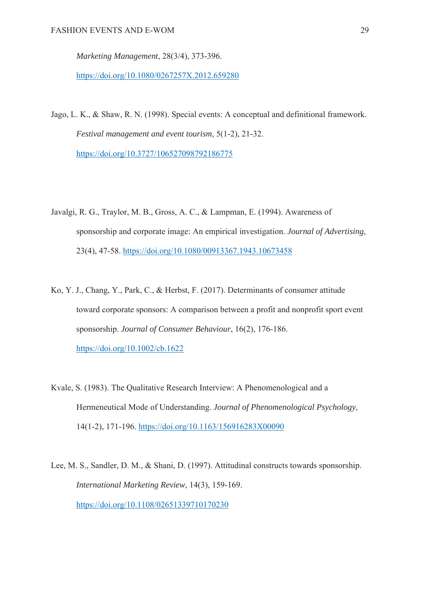*Marketing Management*, 28(3/4), 373-396.

https://doi.org/10.1080/0267257X.2012.659280

- Jago, L. K., & Shaw, R. N. (1998). Special events: A conceptual and definitional framework. *Festival management and event tourism*, 5(1-2), 21-32. https://doi.org/10.3727/106527098792186775
- Javalgi, R. G., Traylor, M. B., Gross, A. C., & Lampman, E. (1994). Awareness of sponsorship and corporate image: An empirical investigation. *Journal of Advertising*, 23(4), 47-58. https://doi.org/10.1080/00913367.1943.10673458
- Ko, Y. J., Chang, Y., Park, C., & Herbst, F. (2017). Determinants of consumer attitude toward corporate sponsors: A comparison between a profit and nonprofit sport event sponsorship. *Journal of Consumer Behaviour*, 16(2), 176-186. https://doi.org/10.1002/cb.1622
- Kvale, S. (1983). The Qualitative Research Interview: A Phenomenological and a Hermeneutical Mode of Understanding. *Journal of Phenomenological Psychology*, 14(1-2), 171-196. https://doi.org/10.1163/156916283X00090
- Lee, M. S., Sandler, D. M., & Shani, D. (1997). Attitudinal constructs towards sponsorship. *International Marketing Review*, 14(3), 159-169. https://doi.org/10.1108/02651339710170230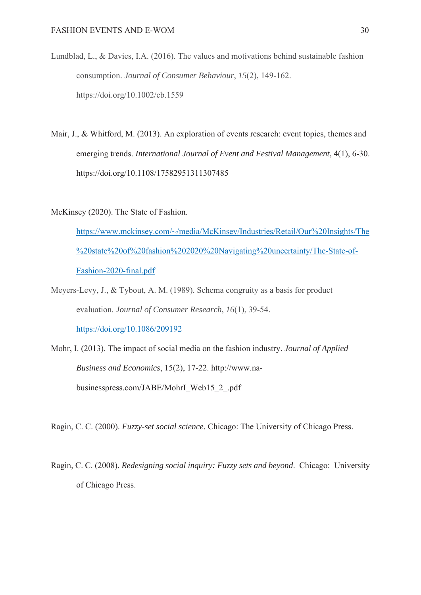- Lundblad, L., & Davies, I.A. (2016). The values and motivations behind sustainable fashion consumption. *Journal of Consumer Behaviour*, *15*(2), 149-162. https://doi.org/10.1002/cb.1559
- Mair, J., & Whitford, M. (2013). An exploration of events research: event topics, themes and emerging trends. *International Journal of Event and Festival Management*, 4(1), 6-30. https://doi.org/10.1108/17582951311307485

McKinsey (2020). The State of Fashion.

https://www.mckinsey.com/~/media/McKinsey/Industries/Retail/Our%20Insights/The %20state%20of%20fashion%202020%20Navigating%20uncertainty/The-State-of-Fashion-2020-final.pdf

- Meyers-Levy, J., & Tybout, A. M. (1989). Schema congruity as a basis for product evaluation. *Journal of Consumer Research*, *16*(1), 39-54. https://doi.org/10.1086/209192
- Mohr, I. (2013). The impact of social media on the fashion industry. *Journal of Applied Business and Economics*, 15(2), 17-22. http://www.nabusinesspress.com/JABE/MohrI\_Web15\_2\_.pdf

Ragin, C. C. (2000). *Fuzzy-set social science*. Chicago: The University of Chicago Press.

Ragin, C. C. (2008). *Redesigning social inquiry: Fuzzy sets and beyond*. Chicago: University of Chicago Press.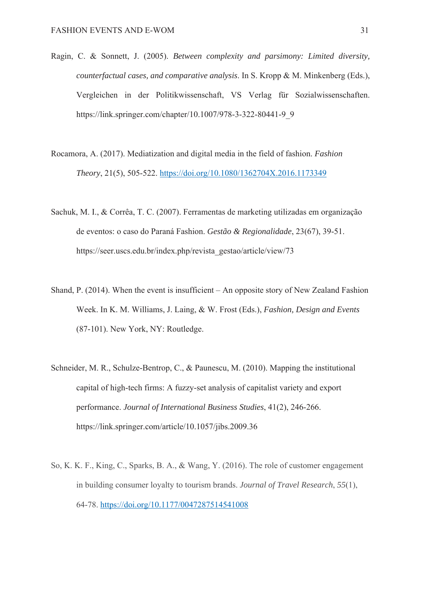- Ragin, C. & Sonnett, J. (2005). *Between complexity and parsimony: Limited diversity, counterfactual cases, and comparative analysis*. In S. Kropp & M. Minkenberg (Eds.), Vergleichen in der Politikwissenschaft, VS Verlag für Sozialwissenschaften. https://link.springer.com/chapter/10.1007/978-3-322-80441-9\_9
- Rocamora, A. (2017). Mediatization and digital media in the field of fashion. *Fashion Theory*, 21(5), 505-522. https://doi.org/10.1080/1362704X.2016.1173349
- Sachuk, M. I., & Corrêa, T. C. (2007). Ferramentas de marketing utilizadas em organização de eventos: o caso do Paraná Fashion. *Gestão & Regionalidade*, 23(67), 39-51. https://seer.uscs.edu.br/index.php/revista\_gestao/article/view/73
- Shand, P. (2014). When the event is insufficient An opposite story of New Zealand Fashion Week. In K. M. Williams, J. Laing, & W. Frost (Eds.), *Fashion, Design and Events* (87-101). New York, NY: Routledge.
- Schneider, M. R., Schulze-Bentrop, C., & Paunescu, M. (2010). Mapping the institutional capital of high-tech firms: A fuzzy-set analysis of capitalist variety and export performance. *Journal of International Business Studies*, 41(2), 246-266. https://link.springer.com/article/10.1057/jibs.2009.36
- So, K. K. F., King, C., Sparks, B. A., & Wang, Y. (2016). The role of customer engagement in building consumer loyalty to tourism brands. *Journal of Travel Research*, *55*(1), 64-78. https://doi.org/10.1177/0047287514541008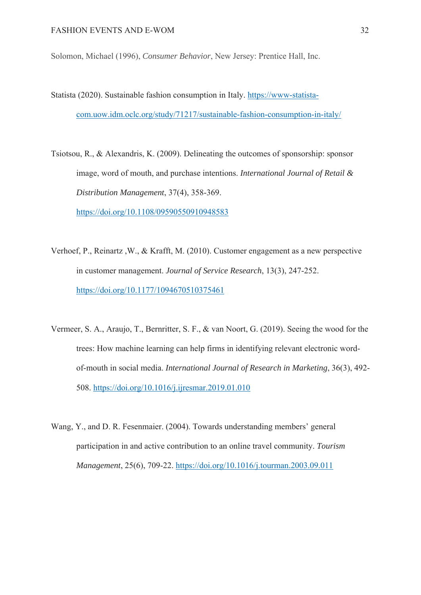Solomon, Michael (1996), *Consumer Behavior*, New Jersey: Prentice Hall, Inc.

- Statista (2020). Sustainable fashion consumption in Italy. https://www-statistacom.uow.idm.oclc.org/study/71217/sustainable-fashion-consumption-in-italy/
- Tsiotsou, R., & Alexandris, K. (2009). Delineating the outcomes of sponsorship: sponsor image, word of mouth, and purchase intentions. *International Journal of Retail & Distribution Management*, 37(4), 358-369. https://doi.org/10.1108/09590550910948583
- Verhoef, P., Reinartz ,W., & Krafft, M. (2010). Customer engagement as a new perspective in customer management. *Journal of Service Research*, 13(3), 247-252. https://doi.org/10.1177/1094670510375461
- Vermeer, S. A., Araujo, T., Bernritter, S. F., & van Noort, G. (2019). Seeing the wood for the trees: How machine learning can help firms in identifying relevant electronic wordof-mouth in social media. *International Journal of Research in Marketing*, 36(3), 492- 508. https://doi.org/10.1016/j.ijresmar.2019.01.010
- Wang, Y., and D. R. Fesenmaier. (2004). Towards understanding members' general participation in and active contribution to an online travel community. *Tourism Management*, 25(6), 709-22. https://doi.org/10.1016/j.tourman.2003.09.011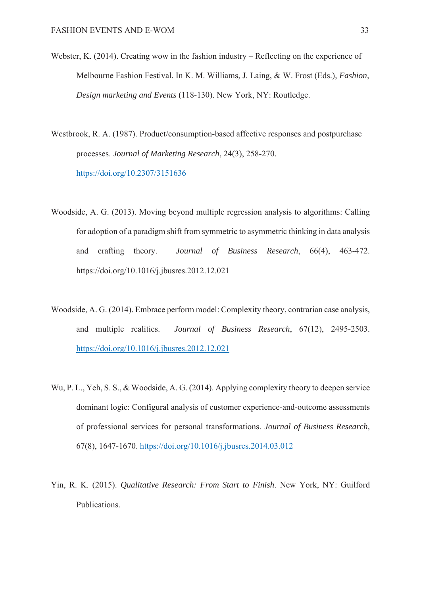- Webster, K. (2014). Creating wow in the fashion industry Reflecting on the experience of Melbourne Fashion Festival. In K. M. Williams, J. Laing, & W. Frost (Eds.), *Fashion, Design marketing and Events* (118-130). New York, NY: Routledge.
- Westbrook, R. A. (1987). Product/consumption-based affective responses and postpurchase processes. *Journal of Marketing Research*, 24(3), 258-270. https://doi.org/10.2307/3151636
- Woodside, A. G. (2013). Moving beyond multiple regression analysis to algorithms: Calling for adoption of a paradigm shift from symmetric to asymmetric thinking in data analysis and crafting theory. *Journal of Business Research*, 66(4), 463-472. https://doi.org/10.1016/j.jbusres.2012.12.021
- Woodside, A. G. (2014). Embrace perform model: Complexity theory, contrarian case analysis, and multiple realities. *Journal of Business Research*, 67(12), 2495-2503. https://doi.org/10.1016/j.jbusres.2012.12.021
- Wu, P. L., Yeh, S. S., & Woodside, A. G. (2014). Applying complexity theory to deepen service dominant logic: Configural analysis of customer experience-and-outcome assessments of professional services for personal transformations. *Journal of Business Research,* 67(8), 1647-1670. https://doi.org/10.1016/j.jbusres.2014.03.012
- Yin, R. K. (2015). *Qualitative Research: From Start to Finish*. New York, NY: Guilford Publications.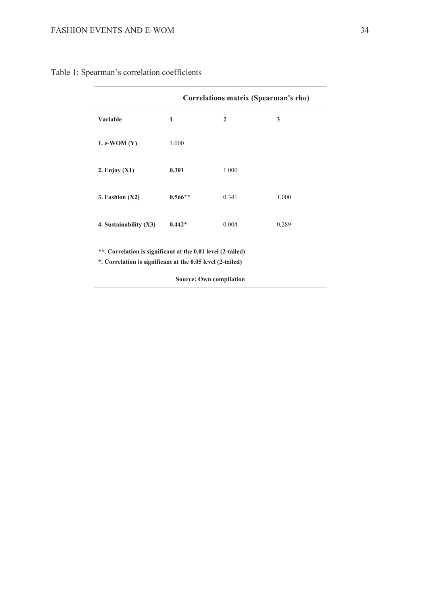# FASHION EVENTS AND E-WOM 34

# Table 1: Spearman's correlation coefficients

|                        | Correlations matrix (Spearman's rho) |                |       |  |
|------------------------|--------------------------------------|----------------|-------|--|
| Variable               | 1                                    | $\overline{2}$ | 3     |  |
| 1. e-WOM $(Y)$         | 1.000                                |                |       |  |
| $2.$ Enjoy $(X1)$      | 0.301                                | 1.000          |       |  |
| 3. Fashion $(X2)$      | $0.566**$                            | 0.341          | 1.000 |  |
| 4. Sustainability (X3) | $0.442*$                             | 0.004          | 0.289 |  |

**\*. Correlation is significant at the 0.05 level (2-tailed)**

**Source: Own compilation**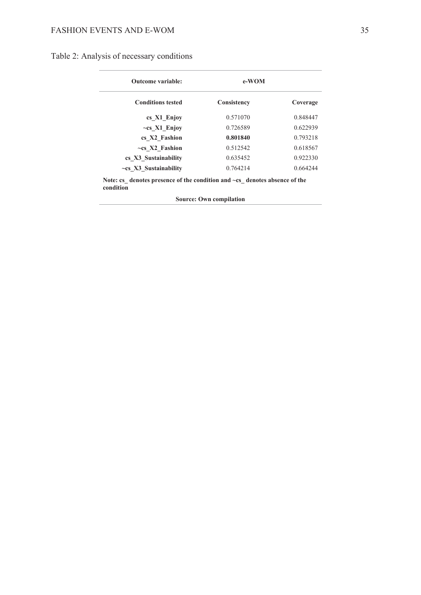| <b>Outcome variable:</b><br><b>Conditions tested</b> | e-WOM       |          |
|------------------------------------------------------|-------------|----------|
|                                                      | Consistency | Coverage |
| cs X1 Enjoy                                          | 0.571070    | 0.848447 |
| $\sim$ cs X1 Enjoy                                   | 0.726589    | 0.622939 |
| cs X2 Fashion                                        | 0.801840    | 0.793218 |
| $\sim$ cs X2 Fashion                                 | 0.512542    | 0.618567 |
| cs X3 Sustainability                                 | 0.635452    | 0.922330 |
| $\sim$ cs X3 Sustainability                          | 0.764214    | 0.664244 |

**Note: cs\_ denotes presence of the condition and ~cs\_ denotes absence of the condition**

**Source: Own compilation**